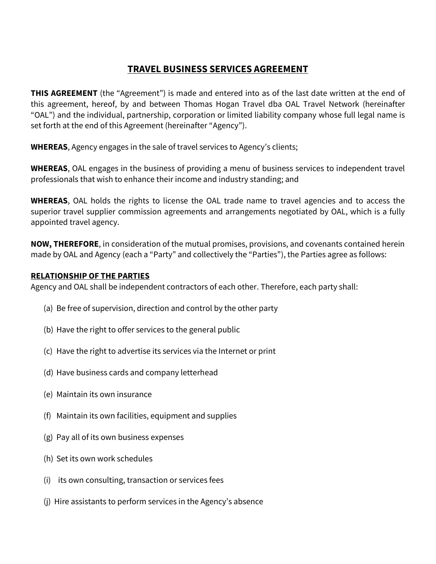# **TRAVEL BUSINESS SERVICES AGREEMENT**

**THIS AGREEMENT** (the "Agreement") is made and entered into as of the last date written at the end of this agreement, hereof, by and between Thomas Hogan Travel dba OAL Travel Network (hereinafter "OAL") and the individual, partnership, corporation or limited liability company whose full legal name is set forth at the end of this Agreement (hereinafter "Agency").

**WHEREAS**, Agency engages in the sale of travel services to Agency's clients;

**WHEREAS**, OAL engages in the business of providing a menu of business services to independent travel professionals that wish to enhance their income and industry standing; and

**WHEREAS**, OAL holds the rights to license the OAL trade name to travel agencies and to access the superior travel supplier commission agreements and arrangements negotiated by OAL, which is a fully appointed travel agency.

**NOW, THEREFORE**, in consideration of the mutual promises, provisions, and covenants contained herein made by OAL and Agency (each a "Party" and collectively the "Parties"), the Parties agree as follows:

### **RELATIONSHIP OF THE PARTIES**

Agency and OAL shall be independent contractors of each other. Therefore, each party shall:

- (a) Be free of supervision, direction and control by the other party
- (b) Have the right to offer services to the general public
- (c) Have the right to advertise its services via the Internet or print
- (d) Have business cards and company letterhead
- (e) Maintain its own insurance
- (f) Maintain its own facilities, equipment and supplies
- (g) Pay all of its own business expenses
- (h) Set its own work schedules
- (i) its own consulting, transaction or services fees
- (j) Hire assistants to perform services in the Agency's absence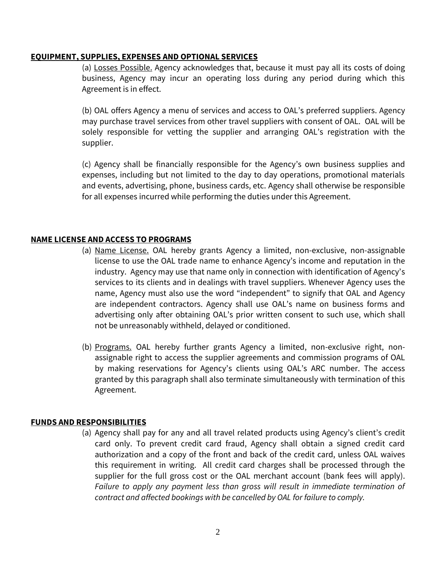#### **EQUIPMENT, SUPPLIES, EXPENSES AND OPTIONAL SERVICES**

(a) Losses Possible. Agency acknowledges that, because it must pay all its costs of doing business, Agency may incur an operating loss during any period during which this Agreement is in effect.

(b) OAL offers Agency a menu of services and access to OAL's preferred suppliers. Agency may purchase travel services from other travel suppliers with consent of OAL. OAL will be solely responsible for vetting the supplier and arranging OAL's registration with the supplier.

(c) Agency shall be financially responsible for the Agency's own business supplies and expenses, including but not limited to the day to day operations, promotional materials and events, advertising, phone, business cards, etc. Agency shall otherwise be responsible for all expenses incurred while performing the duties under this Agreement.

### **NAME LICENSE AND ACCESS TO PROGRAMS**

- (a) Name License. OAL hereby grants Agency a limited, non-exclusive, non-assignable license to use the OAL trade name to enhance Agency's income and reputation in the industry. Agency may use that name only in connection with identification of Agency's services to its clients and in dealings with travel suppliers. Whenever Agency uses the name, Agency must also use the word "independent" to signify that OAL and Agency are independent contractors. Agency shall use OAL's name on business forms and advertising only after obtaining OAL's prior written consent to such use, which shall not be unreasonably withheld, delayed or conditioned.
- (b) Programs. OAL hereby further grants Agency a limited, non-exclusive right, nonassignable right to access the supplier agreements and commission programs of OAL by making reservations for Agency's clients using OAL's ARC number. The access granted by this paragraph shall also terminate simultaneously with termination of this Agreement.

### **FUNDS AND RESPONSIBILITIES**

(a) Agency shall pay for any and all travel related products using Agency's client's credit card only. To prevent credit card fraud, Agency shall obtain a signed credit card authorization and a copy of the front and back of the credit card, unless OAL waives this requirement in writing. All credit card charges shall be processed through the supplier for the full gross cost or the OAL merchant account (bank fees will apply). *Failure to apply any payment less than gross will result in immediate termination of contract and affected bookings with be cancelled by OAL for failure to comply.*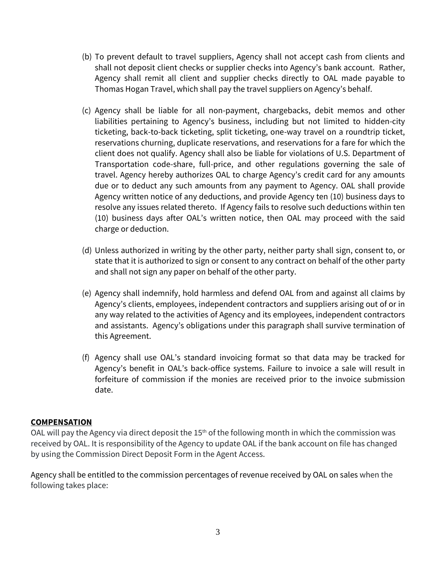- (b) To prevent default to travel suppliers, Agency shall not accept cash from clients and shall not deposit client checks or supplier checks into Agency's bank account. Rather, Agency shall remit all client and supplier checks directly to OAL made payable to Thomas Hogan Travel, which shall pay the travel suppliers on Agency's behalf.
- (c) Agency shall be liable for all non-payment, chargebacks, debit memos and other liabilities pertaining to Agency's business, including but not limited to hidden-city ticketing, back-to-back ticketing, split ticketing, one-way travel on a roundtrip ticket, reservations churning, duplicate reservations, and reservations for a fare for which the client does not qualify. Agency shall also be liable for violations of U.S. Department of Transportation code-share, full-price, and other regulations governing the sale of travel. Agency hereby authorizes OAL to charge Agency's credit card for any amounts due or to deduct any such amounts from any payment to Agency. OAL shall provide Agency written notice of any deductions, and provide Agency ten (10) business days to resolve any issues related thereto. If Agency fails to resolve such deductions within ten (10) business days after OAL's written notice, then OAL may proceed with the said charge or deduction.
- (d) Unless authorized in writing by the other party, neither party shall sign, consent to, or state that it is authorized to sign or consent to any contract on behalf of the other party and shall not sign any paper on behalf of the other party.
- (e) Agency shall indemnify, hold harmless and defend OAL from and against all claims by Agency's clients, employees, independent contractors and suppliers arising out of or in any way related to the activities of Agency and its employees, independent contractors and assistants. Agency's obligations under this paragraph shall survive termination of this Agreement.
- (f) Agency shall use OAL's standard invoicing format so that data may be tracked for Agency's benefit in OAL's back-office systems. Failure to invoice a sale will result in forfeiture of commission if the monies are received prior to the invoice submission date.

## **COMPENSATION**

OAL will pay the Agency via direct deposit the  $15<sup>th</sup>$  of the following month in which the commission was received by OAL. It is responsibility of the Agency to update OAL if the bank account on file has changed by using the Commission Direct Deposit Form in the Agent Access.

Agency shall be entitled to the commission percentages of revenue received by OAL on sales when the following takes place: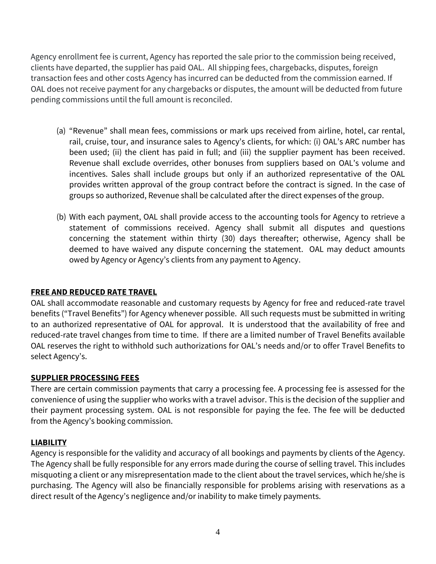Agency enrollment fee is current, Agency has reported the sale prior to the commission being received, clients have departed, the supplier has paid OAL. All shipping fees, chargebacks, disputes, foreign transaction fees and other costs Agency has incurred can be deducted from the commission earned. If OAL does not receive payment for any chargebacks or disputes, the amount will be deducted from future pending commissions until the full amount is reconciled.

- (a) "Revenue" shall mean fees, commissions or mark ups received from airline, hotel, car rental, rail, cruise, tour, and insurance sales to Agency's clients, for which: (i) OAL's ARC number has been used; (ii) the client has paid in full; and (iii) the supplier payment has been received. Revenue shall exclude overrides, other bonuses from suppliers based on OAL's volume and incentives. Sales shall include groups but only if an authorized representative of the OAL provides written approval of the group contract before the contract is signed. In the case of groups so authorized, Revenue shall be calculated after the direct expenses of the group.
- (b) With each payment, OAL shall provide access to the accounting tools for Agency to retrieve a statement of commissions received. Agency shall submit all disputes and questions concerning the statement within thirty (30) days thereafter; otherwise, Agency shall be deemed to have waived any dispute concerning the statement. OAL may deduct amounts owed by Agency or Agency's clients from any payment to Agency.

## **FREE AND REDUCED RATE TRAVEL**

OAL shall accommodate reasonable and customary requests by Agency for free and reduced-rate travel benefits ("Travel Benefits") for Agency whenever possible. All such requests must be submitted in writing to an authorized representative of OAL for approval. It is understood that the availability of free and reduced-rate travel changes from time to time. If there are a limited number of Travel Benefits available OAL reserves the right to withhold such authorizations for OAL's needs and/or to offer Travel Benefits to select Agency's.

## **SUPPLIER PROCESSING FEES**

There are certain commission payments that carry a processing fee. A processing fee is assessed for the convenience of using the supplier who works with a travel advisor. This is the decision of the supplier and their payment processing system. OAL is not responsible for paying the fee. The fee will be deducted from the Agency's booking commission.

### **LIABILITY**

Agency is responsible for the validity and accuracy of all bookings and payments by clients of the Agency. The Agency shall be fully responsible for any errors made during the course of selling travel. This includes misquoting a client or any misrepresentation made to the client about the travel services, which he/she is purchasing. The Agency will also be financially responsible for problems arising with reservations as a direct result of the Agency's negligence and/or inability to make timely payments.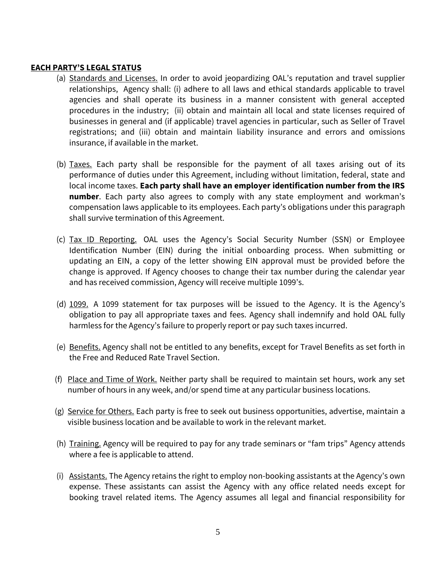### **EACH PARTY'S LEGAL STATUS**

- (a) Standards and Licenses. In order to avoid jeopardizing OAL's reputation and travel supplier relationships, Agency shall: (i) adhere to all laws and ethical standards applicable to travel agencies and shall operate its business in a manner consistent with general accepted procedures in the industry; (ii) obtain and maintain all local and state licenses required of businesses in general and (if applicable) travel agencies in particular, such as Seller of Travel registrations; and (iii) obtain and maintain liability insurance and errors and omissions insurance, if available in the market.
- (b) Taxes. Each party shall be responsible for the payment of all taxes arising out of its performance of duties under this Agreement, including without limitation, federal, state and local income taxes. **Each party shall have an employer identification number from the IRS number**. Each party also agrees to comply with any state employment and workman's compensation laws applicable to its employees. Each party's obligations under this paragraph shall survive termination of this Agreement.
- (c) Tax ID Reporting. OAL uses the Agency's Social Security Number (SSN) or Employee Identification Number (EIN) during the initial onboarding process. When submitting or updating an EIN, a copy of the letter showing EIN approval must be provided before the change is approved. If Agency chooses to change their tax number during the calendar year and has received commission, Agency will receive multiple 1099's.
- (d) 1099. A 1099 statement for tax purposes will be issued to the Agency. It is the Agency's obligation to pay all appropriate taxes and fees. Agency shall indemnify and hold OAL fully harmless for the Agency's failure to properly report or pay such taxes incurred.
- (e) Benefits. Agency shall not be entitled to any benefits, except for Travel Benefits as set forth in the Free and Reduced Rate Travel Section.
- (f) Place and Time of Work. Neither party shall be required to maintain set hours, work any set number of hours in any week, and/or spend time at any particular business locations.
- (g) Service for Others. Each party is free to seek out business opportunities, advertise, maintain a visible business location and be available to work in the relevant market.
- (h) Training. Agency will be required to pay for any trade seminars or "fam trips" Agency attends where a fee is applicable to attend.
- (i) Assistants. The Agency retains the right to employ non-booking assistants at the Agency's own expense. These assistants can assist the Agency with any office related needs except for booking travel related items. The Agency assumes all legal and financial responsibility for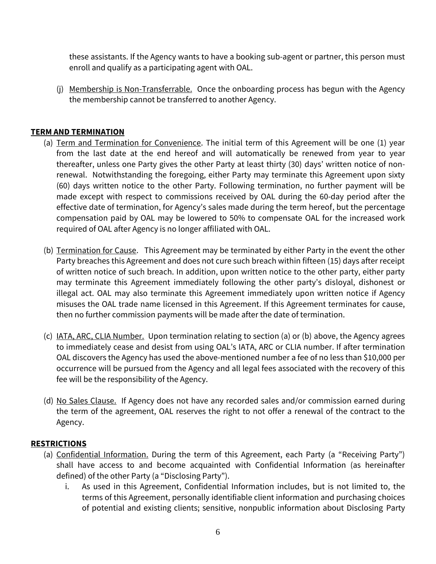these assistants. If the Agency wants to have a booking sub-agent or partner, this person must enroll and qualify as a participating agent with OAL.

(j) Membership is Non-Transferrable. Once the onboarding process has begun with the Agency the membership cannot be transferred to another Agency.

## **TERM AND TERMINATION**

- (a) Term and Termination for Convenience. The initial term of this Agreement will be one (1) year from the last date at the end hereof and will automatically be renewed from year to year thereafter, unless one Party gives the other Party at least thirty (30) days' written notice of nonrenewal. Notwithstanding the foregoing, either Party may terminate this Agreement upon sixty (60) days written notice to the other Party. Following termination, no further payment will be made except with respect to commissions received by OAL during the 60-day period after the effective date of termination, for Agency's sales made during the term hereof, but the percentage compensation paid by OAL may be lowered to 50% to compensate OAL for the increased work required of OAL after Agency is no longer affiliated with OAL.
- (b) Termination for Cause. This Agreement may be terminated by either Party in the event the other Party breaches this Agreement and does not cure such breach within fifteen (15) days after receipt of written notice of such breach. In addition, upon written notice to the other party, either party may terminate this Agreement immediately following the other party's disloyal, dishonest or illegal act. OAL may also terminate this Agreement immediately upon written notice if Agency misuses the OAL trade name licensed in this Agreement. If this Agreement terminates for cause, then no further commission payments will be made after the date of termination.
- (c) IATA, ARC, CLIA Number. Upon termination relating to section (a) or (b) above, the Agency agrees to immediately cease and desist from using OAL's IATA, ARC or CLIA number. If after termination OAL discovers the Agency has used the above-mentioned number a fee of no less than \$10,000 per occurrence will be pursued from the Agency and all legal fees associated with the recovery of this fee will be the responsibility of the Agency.
- (d) No Sales Clause. If Agency does not have any recorded sales and/or commission earned during the term of the agreement, OAL reserves the right to not offer a renewal of the contract to the Agency.

### **RESTRICTIONS**

- (a) Confidential Information. During the term of this Agreement, each Party (a "Receiving Party") shall have access to and become acquainted with Confidential Information (as hereinafter defined) of the other Party (a "Disclosing Party").
	- i. As used in this Agreement, Confidential Information includes, but is not limited to, the terms of this Agreement, personally identifiable client information and purchasing choices of potential and existing clients; sensitive, nonpublic information about Disclosing Party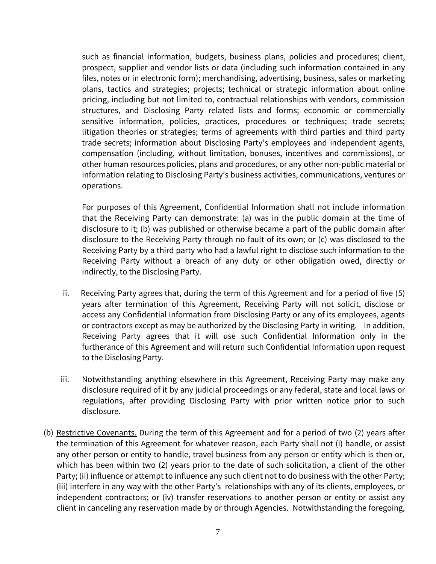such as financial information, budgets, business plans, policies and procedures; client, prospect, supplier and vendor lists or data (including such information contained in any files, notes or in electronic form); merchandising, advertising, business, sales or marketing plans, tactics and strategies; projects; technical or strategic information about online pricing, including but not limited to, contractual relationships with vendors, commission structures, and Disclosing Party related lists and forms; economic or commercially sensitive information, policies, practices, procedures or techniques; trade secrets; litigation theories or strategies; terms of agreements with third parties and third party trade secrets; information about Disclosing Party's employees and independent agents, compensation (including, without limitation, bonuses, incentives and commissions), or other human resources policies, plans and procedures, or any other non-public material or information relating to Disclosing Party's business activities, communications, ventures or operations.

For purposes of this Agreement, Confidential Information shall not include information that the Receiving Party can demonstrate: (a) was in the public domain at the time of disclosure to it; (b) was published or otherwise became a part of the public domain after disclosure to the Receiving Party through no fault of its own; or (c) was disclosed to the Receiving Party by a third party who had a lawful right to disclose such information to the Receiving Party without a breach of any duty or other obligation owed, directly or indirectly, to the Disclosing Party.

- ii. Receiving Party agrees that, during the term of this Agreement and for a period of five (5) years after termination of this Agreement, Receiving Party will not solicit, disclose or access any Confidential Information from Disclosing Party or any of its employees, agents or contractors except as may be authorized by the Disclosing Party in writing. In addition, Receiving Party agrees that it will use such Confidential Information only in the furtherance of this Agreement and will return such Confidential Information upon request to the Disclosing Party.
- iii. Notwithstanding anything elsewhere in this Agreement, Receiving Party may make any disclosure required of it by any judicial proceedings or any federal, state and local laws or regulations, after providing Disclosing Party with prior written notice prior to such disclosure.
- (b) Restrictive Covenants. During the term of this Agreement and for a period of two (2) years after the termination of this Agreement for whatever reason, each Party shall not (i) handle, or assist any other person or entity to handle, travel business from any person or entity which is then or, which has been within two (2) years prior to the date of such solicitation, a client of the other Party; (ii) influence or attempt to influence any such client not to do business with the other Party; (iii) interfere in any way with the other Party's relationships with any of its clients, employees, or independent contractors; or (iv) transfer reservations to another person or entity or assist any client in canceling any reservation made by or through Agencies. Notwithstanding the foregoing,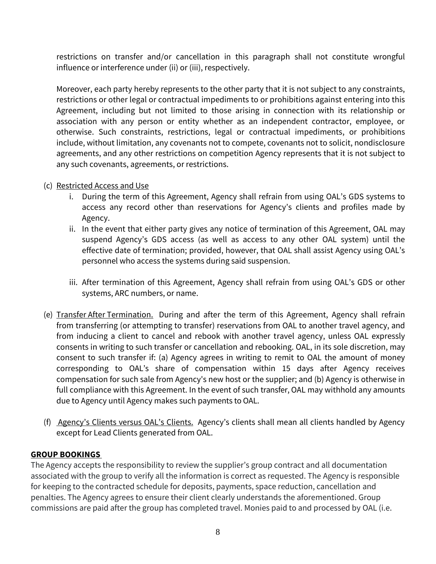restrictions on transfer and/or cancellation in this paragraph shall not constitute wrongful influence or interference under (ii) or (iii), respectively.

Moreover, each party hereby represents to the other party that it is not subject to any constraints, restrictions or other legal or contractual impediments to or prohibitions against entering into this Agreement, including but not limited to those arising in connection with its relationship or association with any person or entity whether as an independent contractor, employee, or otherwise. Such constraints, restrictions, legal or contractual impediments, or prohibitions include, without limitation, any covenants not to compete, covenants not to solicit, nondisclosure agreements, and any other restrictions on competition Agency represents that it is not subject to any such covenants, agreements, or restrictions.

- (c) Restricted Access and Use
	- i. During the term of this Agreement, Agency shall refrain from using OAL's GDS systems to access any record other than reservations for Agency's clients and profiles made by Agency.
	- ii. In the event that either party gives any notice of termination of this Agreement, OAL may suspend Agency's GDS access (as well as access to any other OAL system) until the effective date of termination; provided, however, that OAL shall assist Agency using OAL's personnel who access the systems during said suspension.
	- iii. After termination of this Agreement, Agency shall refrain from using OAL's GDS or other systems, ARC numbers, or name.
- (e) Transfer After Termination. During and after the term of this Agreement, Agency shall refrain from transferring (or attempting to transfer) reservations from OAL to another travel agency, and from inducing a client to cancel and rebook with another travel agency, unless OAL expressly consents in writing to such transfer or cancellation and rebooking. OAL, in its sole discretion, may consent to such transfer if: (a) Agency agrees in writing to remit to OAL the amount of money corresponding to OAL's share of compensation within 15 days after Agency receives compensation for such sale from Agency's new host or the supplier; and (b) Agency is otherwise in full compliance with this Agreement. In the event of such transfer, OAL may withhold any amounts due to Agency until Agency makes such payments to OAL.
- (f) Agency's Clients versus OAL's Clients. Agency's clients shall mean all clients handled by Agency except for Lead Clients generated from OAL.

## **GROUP BOOKINGS**

The Agency accepts the responsibility to review the supplier's group contract and all documentation associated with the group to verify all the information is correct as requested. The Agency is responsible for keeping to the contracted schedule for deposits, payments, space reduction, cancellation and penalties. The Agency agrees to ensure their client clearly understands the aforementioned. Group commissions are paid after the group has completed travel. Monies paid to and processed by OAL (i.e.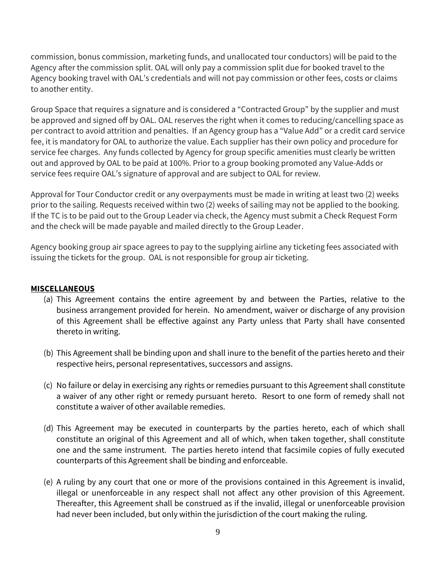commission, bonus commission, marketing funds, and unallocated tour conductors) will be paid to the Agency after the commission split. OAL will only pay a commission split due for booked travel to the Agency booking travel with OAL's credentials and will not pay commission or other fees, costs or claims to another entity.

Group Space that requires a signature and is considered a "Contracted Group" by the supplier and must be approved and signed off by OAL. OAL reserves the right when it comes to reducing/cancelling space as per contract to avoid attrition and penalties. If an Agency group has a "Value Add" or a credit card service fee, it is mandatory for OAL to authorize the value. Each supplier has their own policy and procedure for service fee charges. Any funds collected by Agency for group specific amenities must clearly be written out and approved by OAL to be paid at 100%. Prior to a group booking promoted any Value-Adds or service fees require OAL's signature of approval and are subject to OAL for review.

Approval for Tour Conductor credit or any overpayments must be made in writing at least two (2) weeks prior to the sailing. Requests received within two (2) weeks of sailing may not be applied to the booking. If the TC is to be paid out to the Group Leader via check, the Agency must submit a Check Request Form and the check will be made payable and mailed directly to the Group Leader.

Agency booking group air space agrees to pay to the supplying airline any ticketing fees associated with issuing the tickets for the group. OAL is not responsible for group air ticketing.

### **MISCELLANEOUS**

- (a) This Agreement contains the entire agreement by and between the Parties, relative to the business arrangement provided for herein. No amendment, waiver or discharge of any provision of this Agreement shall be effective against any Party unless that Party shall have consented thereto in writing.
- (b) This Agreement shall be binding upon and shall inure to the benefit of the parties hereto and their respective heirs, personal representatives, successors and assigns.
- (c) No failure or delay in exercising any rights or remedies pursuant to this Agreement shall constitute a waiver of any other right or remedy pursuant hereto. Resort to one form of remedy shall not constitute a waiver of other available remedies.
- (d) This Agreement may be executed in counterparts by the parties hereto, each of which shall constitute an original of this Agreement and all of which, when taken together, shall constitute one and the same instrument. The parties hereto intend that facsimile copies of fully executed counterparts of this Agreement shall be binding and enforceable.
- (e) A ruling by any court that one or more of the provisions contained in this Agreement is invalid, illegal or unenforceable in any respect shall not affect any other provision of this Agreement. Thereafter, this Agreement shall be construed as if the invalid, illegal or unenforceable provision had never been included, but only within the jurisdiction of the court making the ruling.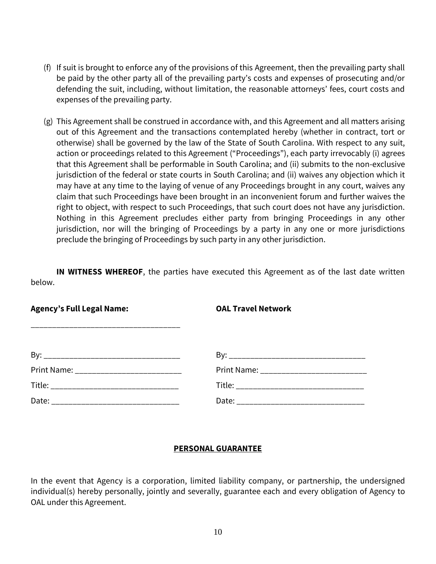- (f) If suit is brought to enforce any of the provisions of this Agreement, then the prevailing party shall be paid by the other party all of the prevailing party's costs and expenses of prosecuting and/or defending the suit, including, without limitation, the reasonable attorneys' fees, court costs and expenses of the prevailing party.
- (g) This Agreement shall be construed in accordance with, and this Agreement and all matters arising out of this Agreement and the transactions contemplated hereby (whether in contract, tort or otherwise) shall be governed by the law of the State of South Carolina. With respect to any suit, action or proceedings related to this Agreement ("Proceedings"), each party irrevocably (i) agrees that this Agreement shall be performable in South Carolina; and (ii) submits to the non-exclusive jurisdiction of the federal or state courts in South Carolina; and (ii) waives any objection which it may have at any time to the laying of venue of any Proceedings brought in any court, waives any claim that such Proceedings have been brought in an inconvenient forum and further waives the right to object, with respect to such Proceedings, that such court does not have any jurisdiction. Nothing in this Agreement precludes either party from bringing Proceedings in any other jurisdiction, nor will the bringing of Proceedings by a party in any one or more jurisdictions preclude the bringing of Proceedings by such party in any other jurisdiction.

**IN WITNESS WHEREOF**, the parties have executed this Agreement as of the last date written below.

**Agency's Full Legal Name: OAL Travel Network**

\_\_\_\_\_\_\_\_\_\_\_\_\_\_\_\_\_\_\_\_\_\_\_\_\_\_\_\_\_\_\_\_\_\_\_

| By          | В٧                                                                                |
|-------------|-----------------------------------------------------------------------------------|
| Print Name: | Print Name: _________                                                             |
| Title:      | Title:                                                                            |
| Date:       | Date:<br>المستحيل فاستعمل فاستحق فاستحق فاستحق فاستحق فاستحق فاستحق فاستحق فاستحق |

## **PERSONAL GUARANTEE**

In the event that Agency is a corporation, limited liability company, or partnership, the undersigned individual(s) hereby personally, jointly and severally, guarantee each and every obligation of Agency to OAL under this Agreement.